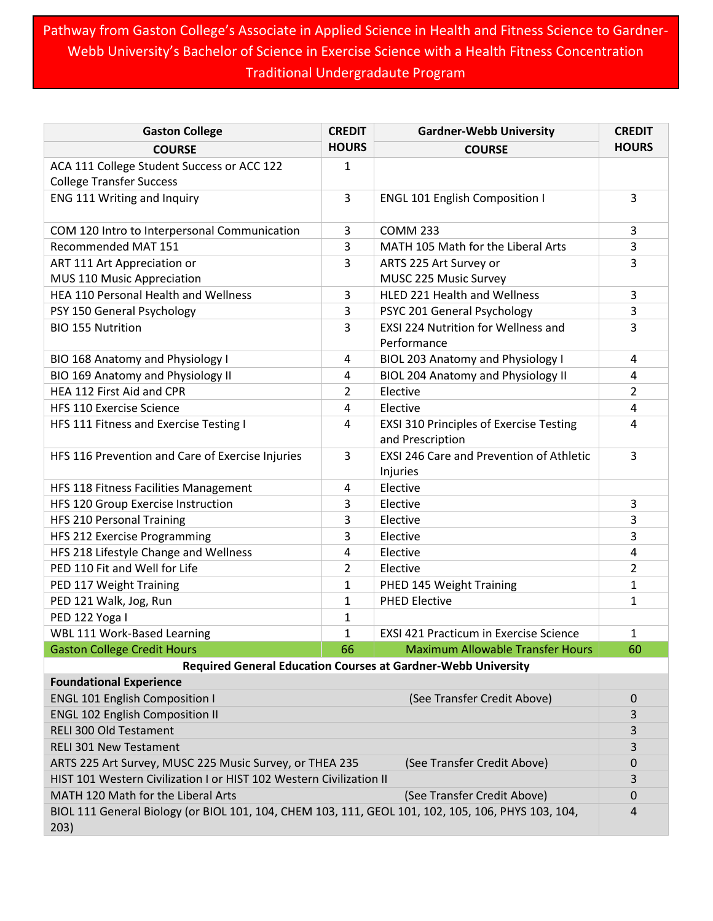Pathway from Gaston College's Associate in Applied Science in Health and Fitness Science to Gardner-Webb University's Bachelor of Science in Exercise Science with a Health Fitness Concentration Traditional Undergradaute Program

| <b>Gaston College</b>                                                                                      | <b>CREDIT</b> | <b>Gardner-Webb University</b>                                     | <b>CREDIT</b> |  |  |
|------------------------------------------------------------------------------------------------------------|---------------|--------------------------------------------------------------------|---------------|--|--|
| <b>COURSE</b>                                                                                              | <b>HOURS</b>  | <b>COURSE</b>                                                      | <b>HOURS</b>  |  |  |
| ACA 111 College Student Success or ACC 122<br><b>College Transfer Success</b>                              | 1             |                                                                    |               |  |  |
| ENG 111 Writing and Inquiry                                                                                | 3             | <b>ENGL 101 English Composition I</b>                              | 3             |  |  |
| COM 120 Intro to Interpersonal Communication                                                               | 3             | <b>COMM 233</b>                                                    | 3             |  |  |
| Recommended MAT 151                                                                                        | 3             | MATH 105 Math for the Liberal Arts                                 | 3             |  |  |
| ART 111 Art Appreciation or                                                                                | 3             | ARTS 225 Art Survey or                                             | 3             |  |  |
| MUS 110 Music Appreciation                                                                                 |               | MUSC 225 Music Survey                                              |               |  |  |
| HEA 110 Personal Health and Wellness                                                                       | 3             | HLED 221 Health and Wellness                                       | 3             |  |  |
| PSY 150 General Psychology                                                                                 | 3             | PSYC 201 General Psychology                                        | 3             |  |  |
| <b>BIO 155 Nutrition</b>                                                                                   | 3             | EXSI 224 Nutrition for Wellness and                                | 3             |  |  |
|                                                                                                            |               | Performance                                                        |               |  |  |
| BIO 168 Anatomy and Physiology I                                                                           | 4             | <b>BIOL 203 Anatomy and Physiology I</b>                           | 4             |  |  |
| BIO 169 Anatomy and Physiology II                                                                          | 4             | <b>BIOL 204 Anatomy and Physiology II</b>                          | 4             |  |  |
| HEA 112 First Aid and CPR                                                                                  | 2             | Elective                                                           | 2             |  |  |
| <b>HFS 110 Exercise Science</b>                                                                            | 4             | Elective                                                           | 4             |  |  |
| HFS 111 Fitness and Exercise Testing I                                                                     | 4             | <b>EXSI 310 Principles of Exercise Testing</b><br>and Prescription | 4             |  |  |
| HFS 116 Prevention and Care of Exercise Injuries                                                           | 3             | EXSI 246 Care and Prevention of Athletic                           | 3             |  |  |
|                                                                                                            |               | Injuries                                                           |               |  |  |
| HFS 118 Fitness Facilities Management                                                                      | 4             | Elective                                                           |               |  |  |
| HFS 120 Group Exercise Instruction                                                                         | 3             | Elective                                                           | 3             |  |  |
| HFS 210 Personal Training                                                                                  | 3             | Elective                                                           | 3             |  |  |
| HFS 212 Exercise Programming                                                                               | 3             | Elective                                                           | 3             |  |  |
| HFS 218 Lifestyle Change and Wellness                                                                      | 4             | Elective                                                           | 4             |  |  |
| PED 110 Fit and Well for Life                                                                              | 2             | Elective                                                           | 2             |  |  |
| PED 117 Weight Training                                                                                    | $\mathbf{1}$  | PHED 145 Weight Training                                           | 1             |  |  |
| PED 121 Walk, Jog, Run                                                                                     | $\mathbf{1}$  | <b>PHED Elective</b>                                               | $\mathbf{1}$  |  |  |
| PED 122 Yoga I                                                                                             | 1             |                                                                    |               |  |  |
| WBL 111 Work-Based Learning                                                                                | 1             | <b>EXSI 421 Practicum in Exercise Science</b>                      | 1             |  |  |
| <b>Gaston College Credit Hours</b>                                                                         | 66            | <b>Maximum Allowable Transfer Hours</b>                            | 60            |  |  |
| <b>Required General Education Courses at Gardner-Webb University</b>                                       |               |                                                                    |               |  |  |
| <b>Foundational Experience</b>                                                                             |               |                                                                    |               |  |  |
| <b>ENGL 101 English Composition I</b>                                                                      |               | (See Transfer Credit Above)                                        | 0             |  |  |
| <b>ENGL 102 English Composition II</b>                                                                     |               |                                                                    |               |  |  |
| RELI 300 Old Testament                                                                                     |               |                                                                    |               |  |  |
| <b>RELI 301 New Testament</b>                                                                              |               |                                                                    |               |  |  |
| ARTS 225 Art Survey, MUSC 225 Music Survey, or THEA 235<br>(See Transfer Credit Above)                     |               |                                                                    |               |  |  |
| HIST 101 Western Civilization I or HIST 102 Western Civilization II                                        |               |                                                                    | 3             |  |  |
| MATH 120 Math for the Liberal Arts<br>(See Transfer Credit Above)                                          |               |                                                                    |               |  |  |
| BIOL 111 General Biology (or BIOL 101, 104, CHEM 103, 111, GEOL 101, 102, 105, 106, PHYS 103, 104,<br>203) |               |                                                                    |               |  |  |